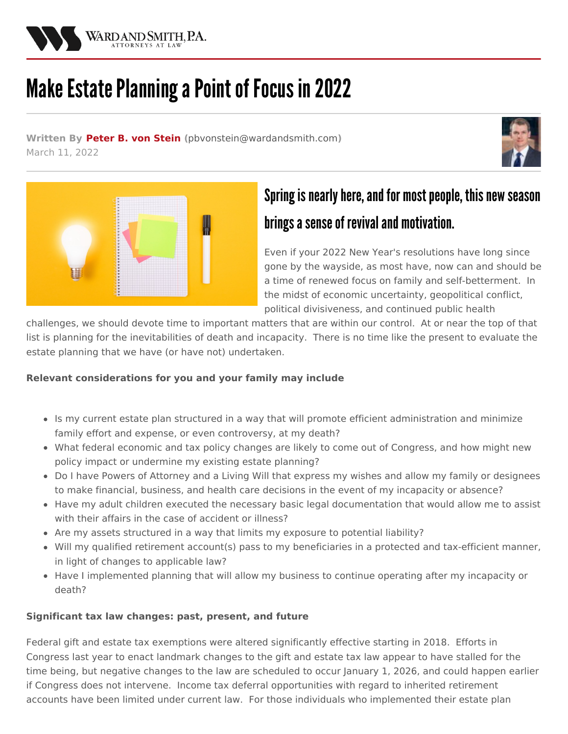

# Make Estate Planning a Point of Focus in 2022

**Written By [Peter](/attorneys/peter-von_stein) B. von Stein (**[pbvonstein@wardandsmith.com](mailto:pbvonstein@wardandsmith.com)**)** March 11, 2022





## Spring is nearly here, and for most people, this new season brings a sense of revival and motivation.

Even if your 2022 New Year's resolutions have long since gone by the wayside, as most have, now can and should be a time of renewed focus on family and self-betterment. In the midst of economic uncertainty, geopolitical conflict, political divisiveness, and continued public health

challenges, we should devote time to important matters that are within our control. At or near the top of that list is planning for the inevitabilities of death and incapacity. There is no time like the present to evaluate the estate planning that we have (or have not) undertaken.

### **Relevant considerations for you and your family may include**

- Is my current estate plan structured in a way that will promote efficient administration and minimize family effort and expense, or even controversy, at my death?
- What federal economic and tax policy changes are likely to come out of Congress, and how might new policy impact or undermine my existing estate planning?
- Do I have Powers of Attorney and a Living Will that express my wishes and allow my family or designees to make financial, business, and health care decisions in the event of my incapacity or absence?
- Have my adult children executed the necessary basic legal documentation that would allow me to assist with their affairs in the case of accident or illness?
- Are my assets structured in a way that limits my exposure to potential liability?
- Will my qualified retirement account(s) pass to my beneficiaries in a protected and tax-efficient manner, in light of changes to applicable law?
- Have I implemented planning that will allow my business to continue operating after my incapacity or death?

#### **Significant tax law changes: past, present, and future**

Federal gift and estate tax exemptions were altered significantly effective starting in 2018. Efforts in Congress last year to enact landmark changes to the gift and estate tax law appear to have stalled for the time being, but negative changes to the law are scheduled to occur January 1, 2026, and could happen earlier if Congress does not intervene. Income tax deferral opportunities with regard to inherited retirement accounts have been limited under current law. For those individuals who implemented their estate plan